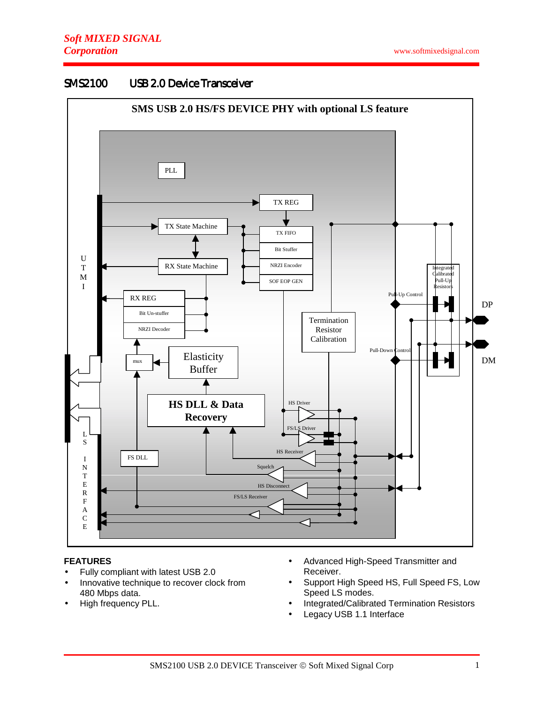#### **SMS2100 USB 2.0 Device Transceiver**



#### **FEATURES**

- Fully compliant with latest USB 2.0
- Innovative technique to recover clock from 480 Mbps data.
- High frequency PLL.
- Advanced High-Speed Transmitter and Receiver.
- Support High Speed HS, Full Speed FS, Low Speed LS modes.
- Integrated/Calibrated Termination Resistors
- Legacy USB 1.1 Interface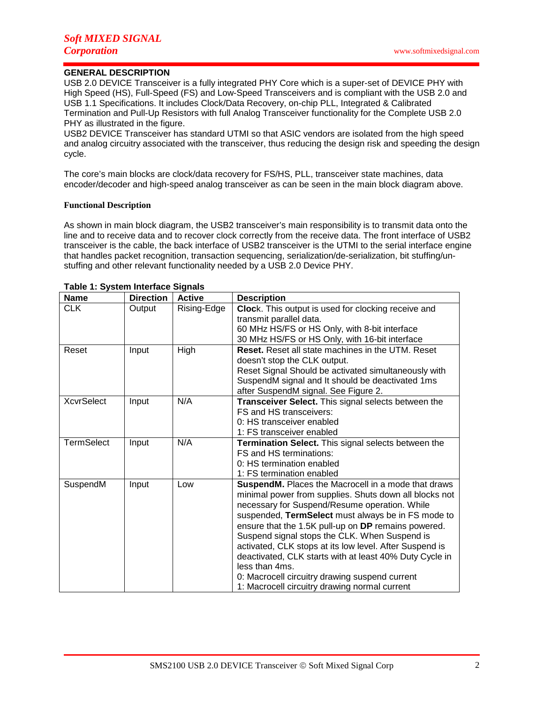# **GENERAL DESCRIPTION**

USB 2.0 DEVICE Transceiver is a fully integrated PHY Core which is a super-set of DEVICE PHY with High Speed (HS), Full-Speed (FS) and Low-Speed Transceivers and is compliant with the USB 2.0 and USB 1.1 Specifications. It includes Clock/Data Recovery, on-chip PLL, Integrated & Calibrated Termination and Pull-Up Resistors with full Analog Transceiver functionality for the Complete USB 2.0 PHY as illustrated in the figure.

USB2 DEVICE Transceiver has standard UTMI so that ASIC vendors are isolated from the high speed and analog circuitry associated with the transceiver, thus reducing the design risk and speeding the design cycle.

The core's main blocks are clock/data recovery for FS/HS, PLL, transceiver state machines, data encoder/decoder and high-speed analog transceiver as can be seen in the main block diagram above.

#### **Functional Description**

As shown in main block diagram, the USB2 transceiver's main responsibility is to transmit data onto the line and to receive data and to recover clock correctly from the receive data. The front interface of USB2 transceiver is the cable, the back interface of USB2 transceiver is the UTMI to the serial interface engine that handles packet recognition, transaction sequencing, serialization/de-serialization, bit stuffing/unstuffing and other relevant functionality needed by a USB 2.0 Device PHY.

| <b>Name</b>       | <b>Direction</b> | <b>Active</b> | <b>Description</b>                                                                                                                                                                                                                                                                                                                                                                                                                                                                                                                                                      |
|-------------------|------------------|---------------|-------------------------------------------------------------------------------------------------------------------------------------------------------------------------------------------------------------------------------------------------------------------------------------------------------------------------------------------------------------------------------------------------------------------------------------------------------------------------------------------------------------------------------------------------------------------------|
| <b>CLK</b>        | Output           | Rising-Edge   | Clock. This output is used for clocking receive and<br>transmit parallel data.<br>60 MHz HS/FS or HS Only, with 8-bit interface<br>30 MHz HS/FS or HS Only, with 16-bit interface                                                                                                                                                                                                                                                                                                                                                                                       |
| Reset             | Input            | High          | <b>Reset.</b> Reset all state machines in the UTM. Reset<br>doesn't stop the CLK output.<br>Reset Signal Should be activated simultaneously with<br>SuspendM signal and It should be deactivated 1ms<br>after SuspendM signal. See Figure 2.                                                                                                                                                                                                                                                                                                                            |
| <b>XcvrSelect</b> | Input            | N/A           | Transceiver Select. This signal selects between the<br>FS and HS transceivers:<br>0: HS transceiver enabled<br>1: FS transceiver enabled                                                                                                                                                                                                                                                                                                                                                                                                                                |
| <b>TermSelect</b> | Input            | N/A           | Termination Select. This signal selects between the<br>FS and HS terminations:<br>0: HS termination enabled<br>1: FS termination enabled                                                                                                                                                                                                                                                                                                                                                                                                                                |
| SuspendM          | Input            | Low           | SuspendM. Places the Macrocell in a mode that draws<br>minimal power from supplies. Shuts down all blocks not<br>necessary for Suspend/Resume operation. While<br>suspended, TermSelect must always be in FS mode to<br>ensure that the 1.5K pull-up on DP remains powered.<br>Suspend signal stops the CLK. When Suspend is<br>activated, CLK stops at its low level. After Suspend is<br>deactivated, CLK starts with at least 40% Duty Cycle in<br>less than 4ms.<br>0: Macrocell circuitry drawing suspend current<br>1: Macrocell circuitry drawing normal current |

#### **Table 1: System Interface Signals**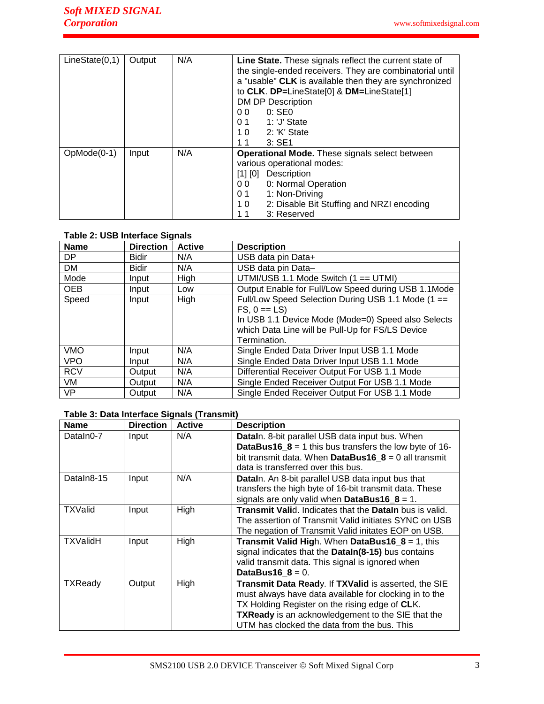| LineState(0,1) | Output | N/A | Line State. These signals reflect the current state of<br>the single-ended receivers. They are combinatorial until<br>a "usable" CLK is available then they are synchronized<br>to CLK. DP=LineState[0] & DM=LineState[1]<br>DM DP Description<br>$0:$ SE $0$<br>0 Q<br>1: 'J' State<br>01<br>1.0 2: 'K' State<br>$3:$ SE1<br>11 |
|----------------|--------|-----|----------------------------------------------------------------------------------------------------------------------------------------------------------------------------------------------------------------------------------------------------------------------------------------------------------------------------------|
| $OpMode(0-1)$  | Input  | N/A | Operational Mode. These signals select between<br>various operational modes:<br>$[1]$ $[0]$<br>Description<br>0: Normal Operation<br>0 <sub>0</sub><br>1: Non-Driving<br>01<br>2: Disable Bit Stuffing and NRZI encoding<br>10<br>11<br>3: Reserved                                                                              |

# **Table 2: USB Interface Signals**

| <b>Name</b> | <b>Direction</b> | <b>Active</b> | <b>Description</b>                                                                                                                                                                            |
|-------------|------------------|---------------|-----------------------------------------------------------------------------------------------------------------------------------------------------------------------------------------------|
| DP          | <b>Bidir</b>     | N/A           | USB data pin Data+                                                                                                                                                                            |
| <b>DM</b>   | <b>Bidir</b>     | N/A           | USB data pin Data-                                                                                                                                                                            |
| Mode        | Input            | High          | UTMI/USB 1.1 Mode Switch (1 == UTMI)                                                                                                                                                          |
| <b>OEB</b>  | Input            | Low           | Output Enable for Full/Low Speed during USB 1.1Mode                                                                                                                                           |
| Speed       | Input            | High          | Full/Low Speed Selection During USB 1.1 Mode (1 ==<br>$FS. 0 == LS$<br>In USB 1.1 Device Mode (Mode=0) Speed also Selects<br>which Data Line will be Pull-Up for FS/LS Device<br>Termination. |
| <b>VMO</b>  | Input            | N/A           | Single Ended Data Driver Input USB 1.1 Mode                                                                                                                                                   |
| <b>VPO</b>  | Input            | N/A           | Single Ended Data Driver Input USB 1.1 Mode                                                                                                                                                   |
| <b>RCV</b>  | Output           | N/A           | Differential Receiver Output For USB 1.1 Mode                                                                                                                                                 |
| VM          | Output           | N/A           | Single Ended Receiver Output For USB 1.1 Mode                                                                                                                                                 |
| <b>VP</b>   | Output           | N/A           | Single Ended Receiver Output For USB 1.1 Mode                                                                                                                                                 |

# **Table 3: Data Interface Signals (Transmit)**

| <b>Name</b>    | <b>Direction</b> | <b>Active</b> | <b>Description</b>                                                    |
|----------------|------------------|---------------|-----------------------------------------------------------------------|
| DataIn0-7      | Input            | N/A           | DataIn. 8-bit parallel USB data input bus. When                       |
|                |                  |               | <b>DataBus16_8</b> = 1 this bus transfers the low byte of 16-         |
|                |                  |               | bit transmit data. When DataBus16 $8 = 0$ all transmit                |
|                |                  |               | data is transferred over this bus.                                    |
| Dataln8-15     | Input            | N/A           | <b>Datain.</b> An 8-bit parallel USB data input bus that              |
|                |                  |               | transfers the high byte of 16-bit transmit data. These                |
|                |                  |               | signals are only valid when DataBus16_8 = 1.                          |
| <b>TXValid</b> | Input            | High          | <b>Transmit Valid.</b> Indicates that the <b>Datain</b> bus is valid. |
|                |                  |               | The assertion of Transmit Valid initiates SYNC on USB                 |
|                |                  |               | The negation of Transmit Valid initates EOP on USB.                   |
| TXValidH       | Input            | High          | <b>Transmit Valid High.</b> When DataBus16 $8 = 1$ , this             |
|                |                  |               | signal indicates that the Dataln(8-15) bus contains                   |
|                |                  |               | valid transmit data. This signal is ignored when                      |
|                |                  |               | DataBus16 $8 = 0$ .                                                   |
| <b>TXReady</b> | Output           | High          | Transmit Data Ready. If TXValid is asserted, the SIE                  |
|                |                  |               | must always have data available for clocking in to the                |
|                |                  |               | TX Holding Register on the rising edge of CLK.                        |
|                |                  |               | TXReady is an acknowledgement to the SIE that the                     |
|                |                  |               | UTM has clocked the data from the bus. This                           |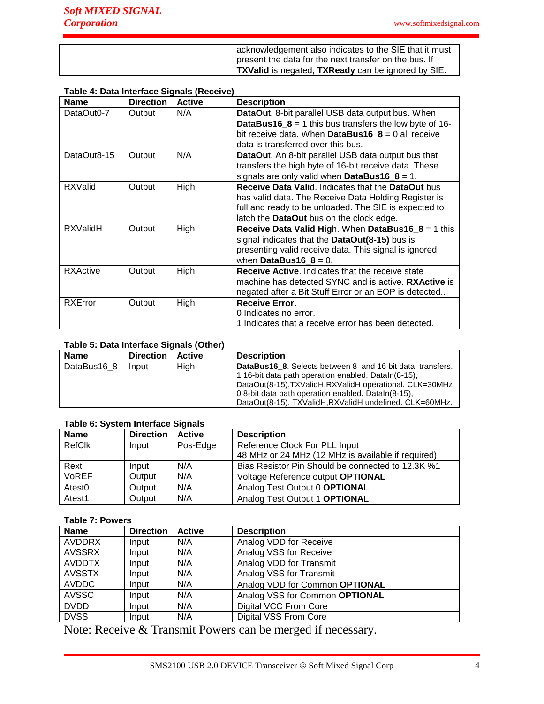|  | acknowledgement also indicates to the SIE that it must |
|--|--------------------------------------------------------|
|  | present the data for the next transfer on the bus. If  |
|  | TXValid is negated, TXReady can be ignored by SIE.     |

### **Table 4: Data Interface Signals (Receive)**

| <b>Name</b>     | <b>Direction</b> | <b>Active</b> | <b>Description</b>                                            |
|-----------------|------------------|---------------|---------------------------------------------------------------|
| DataOut0-7      | Output           | N/A           | <b>DataOut.</b> 8-bit parallel USB data output bus. When      |
|                 |                  |               | <b>DataBus16_8</b> = 1 this bus transfers the low byte of 16- |
|                 |                  |               | bit receive data. When DataBus16 $8 = 0$ all receive          |
|                 |                  |               | data is transferred over this bus.                            |
| DataOut8-15     | Output           | N/A           | <b>DataOut.</b> An 8-bit parallel USB data output bus that    |
|                 |                  |               | transfers the high byte of 16-bit receive data. These         |
|                 |                  |               | signals are only valid when DataBus16_8 = 1.                  |
| <b>RXValid</b>  | Output           | High          | <b>Receive Data Valid. Indicates that the DataOut bus</b>     |
|                 |                  |               | has valid data. The Receive Data Holding Register is          |
|                 |                  |               | full and ready to be unloaded. The SIE is expected to         |
|                 |                  |               | latch the DataOut bus on the clock edge.                      |
| <b>RXValidH</b> | Output           | High          | Receive Data Valid High. When DataBus16_8 = 1 this            |
|                 |                  |               | signal indicates that the DataOut(8-15) bus is                |
|                 |                  |               | presenting valid receive data. This signal is ignored         |
|                 |                  |               | when DataBus16_8 = $0$ .                                      |
| <b>RXActive</b> | Output           | High          | <b>Receive Active.</b> Indicates that the receive state       |
|                 |                  |               | machine has detected SYNC and is active. RXActive is          |
|                 |                  |               | negated after a Bit Stuff Error or an EOP is detected         |
| <b>RXError</b>  | Output           | High          | <b>Receive Error.</b>                                         |
|                 |                  |               | 0 Indicates no error.                                         |
|                 |                  |               | 1 Indicates that a receive error has been detected.           |

# **Table 5: Data Interface Signals (Other)**

| <b>Name</b> | <b>Direction</b> | <b>Active</b> | <b>Description</b>                                                                                                                                                                                                                                                                                  |
|-------------|------------------|---------------|-----------------------------------------------------------------------------------------------------------------------------------------------------------------------------------------------------------------------------------------------------------------------------------------------------|
| DataBus16 8 | Input            | High          | <b>DataBus16 8.</b> Selects between 8 and 16 bit data transfers.<br>116-bit data path operation enabled. Dataln(8-15),<br>DataOut(8-15), TXValidH, RXValidH operational. CLK=30MHz<br>0 8-bit data path operation enabled. Dataln(8-15),<br>DataOut(8-15), TXValidH, RXValidH undefined, CLK=60MHz, |

# **Table 6: System Interface Signals**

| <b>Name</b>        | <b>Direction</b> | Active   | <b>Description</b>                                 |
|--------------------|------------------|----------|----------------------------------------------------|
| <b>RefClk</b>      | Input            | Pos-Edge | Reference Clock For PLL Input                      |
|                    |                  |          | 48 MHz or 24 MHz (12 MHz is available if required) |
| Rext               | Input            | N/A      | Bias Resistor Pin Should be connected to 12.3K %1  |
| <b>VoREF</b>       | Output           | N/A      | Voltage Reference output OPTIONAL                  |
| Atest <sub>0</sub> | Output           | N/A      | Analog Test Output 0 OPTIONAL                      |
| Atest1             | Output           | N/A      | Analog Test Output 1 OPTIONAL                      |

# **Table 7: Powers**

| <b>Name</b>   | <b>Direction</b> | <b>Active</b> | <b>Description</b>             |
|---------------|------------------|---------------|--------------------------------|
| <b>AVDDRX</b> | Input            | N/A           | Analog VDD for Receive         |
| <b>AVSSRX</b> | Input            | N/A           | Analog VSS for Receive         |
| <b>AVDDTX</b> | Input            | N/A           | Analog VDD for Transmit        |
| <b>AVSSTX</b> | Input            | N/A           | Analog VSS for Transmit        |
| <b>AVDDC</b>  | Input            | N/A           | Analog VDD for Common OPTIONAL |
| <b>AVSSC</b>  | Input            | N/A           | Analog VSS for Common OPTIONAL |
| <b>DVDD</b>   | Input            | N/A           | <b>Digital VCC From Core</b>   |
| <b>DVSS</b>   | Input            | N/A           | <b>Digital VSS From Core</b>   |

Note: Receive & Transmit Powers can be merged if necessary.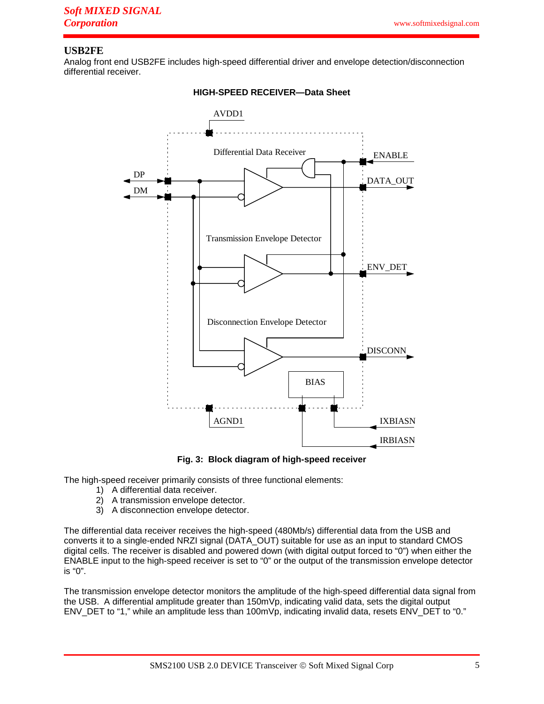# **USB2FE**

Analog front end USB2FE includes high-speed differential driver and envelope detection/disconnection differential receiver.



### **HIGH-SPEED RECEIVER—Data Sheet**

**Fig. 3: Block diagram of high-speed receiver** 

The high-speed receiver primarily consists of three functional elements:

- 1) A differential data receiver.
- 2) A transmission envelope detector.
- 3) A disconnection envelope detector.

The differential data receiver receives the high-speed (480Mb/s) differential data from the USB and converts it to a single-ended NRZI signal (DATA\_OUT) suitable for use as an input to standard CMOS digital cells. The receiver is disabled and powered down (with digital output forced to "0") when either the ENABLE input to the high-speed receiver is set to "0" or the output of the transmission envelope detector is "0".

The transmission envelope detector monitors the amplitude of the high-speed differential data signal from the USB. A differential amplitude greater than 150mVp, indicating valid data, sets the digital output ENV\_DET to "1," while an amplitude less than 100mVp, indicating invalid data, resets ENV\_DET to "0."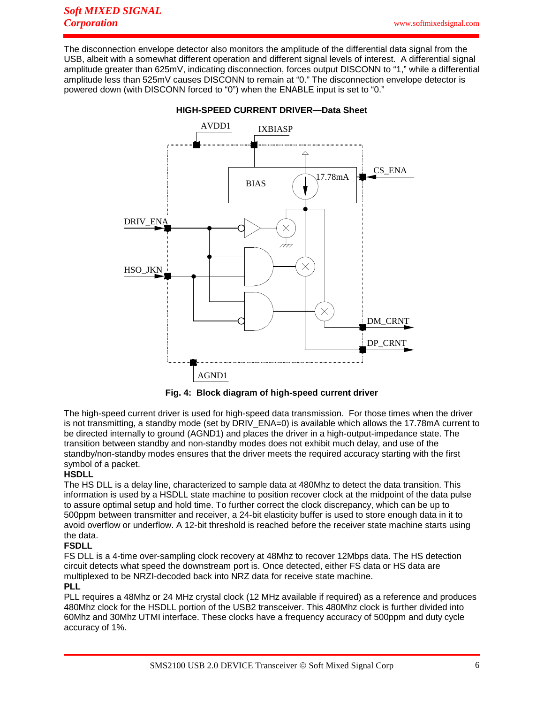The disconnection envelope detector also monitors the amplitude of the differential data signal from the USB, albeit with a somewhat different operation and different signal levels of interest. A differential signal amplitude greater than 625mV, indicating disconnection, forces output DISCONN to "1," while a differential amplitude less than 525mV causes DISCONN to remain at "0." The disconnection envelope detector is powered down (with DISCONN forced to "0") when the ENABLE input is set to "0."



**HIGH-SPEED CURRENT DRIVER—Data Sheet** 



The high-speed current driver is used for high-speed data transmission. For those times when the driver is not transmitting, a standby mode (set by DRIV\_ENA=0) is available which allows the 17.78mA current to be directed internally to ground (AGND1) and places the driver in a high-output-impedance state. The transition between standby and non-standby modes does not exhibit much delay, and use of the standby/non-standby modes ensures that the driver meets the required accuracy starting with the first symbol of a packet.

# **HSDLL**

The HS DLL is a delay line, characterized to sample data at 480Mhz to detect the data transition. This information is used by a HSDLL state machine to position recover clock at the midpoint of the data pulse to assure optimal setup and hold time. To further correct the clock discrepancy, which can be up to 500ppm between transmitter and receiver, a 24-bit elasticity buffer is used to store enough data in it to avoid overflow or underflow. A 12-bit threshold is reached before the receiver state machine starts using the data.

#### **FSDLL**

FS DLL is a 4-time over-sampling clock recovery at 48Mhz to recover 12Mbps data. The HS detection circuit detects what speed the downstream port is. Once detected, either FS data or HS data are multiplexed to be NRZI-decoded back into NRZ data for receive state machine.

# **PLL**

PLL requires a 48Mhz or 24 MHz crystal clock (12 MHz available if required) as a reference and produces 480Mhz clock for the HSDLL portion of the USB2 transceiver. This 480Mhz clock is further divided into 60Mhz and 30Mhz UTMI interface. These clocks have a frequency accuracy of 500ppm and duty cycle accuracy of 1%.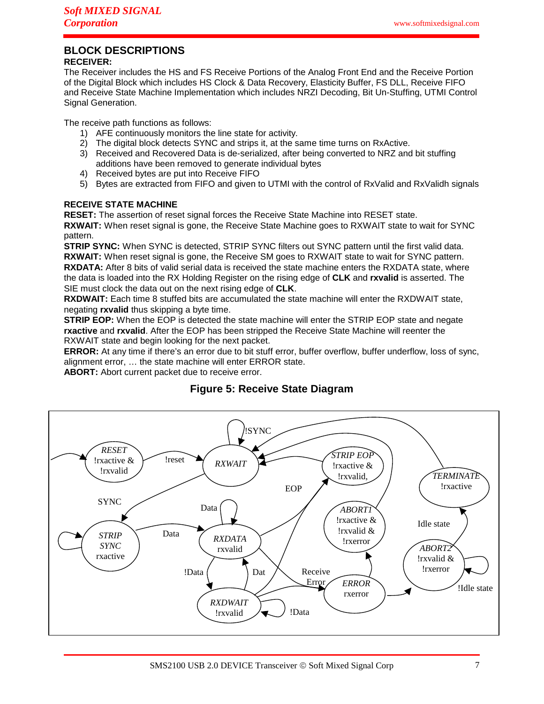# **BLOCK DESCRIPTIONS**

# **RECEIVER:**

The Receiver includes the HS and FS Receive Portions of the Analog Front End and the Receive Portion of the Digital Block which includes HS Clock & Data Recovery, Elasticity Buffer, FS DLL, Receive FIFO and Receive State Machine Implementation which includes NRZI Decoding, Bit Un-Stuffing, UTMI Control Signal Generation.

The receive path functions as follows:

- 1) AFE continuously monitors the line state for activity.
- 2) The digital block detects SYNC and strips it, at the same time turns on RxActive.
- 3) Received and Recovered Data is de-serialized, after being converted to NRZ and bit stuffing additions have been removed to generate individual bytes
- 4) Received bytes are put into Receive FIFO
- 5) Bytes are extracted from FIFO and given to UTMI with the control of RxValid and RxValidh signals

# **RECEIVE STATE MACHINE**

**RESET:** The assertion of reset signal forces the Receive State Machine into RESET state.

**RXWAIT:** When reset signal is gone, the Receive State Machine goes to RXWAIT state to wait for SYNC pattern.

**STRIP SYNC:** When SYNC is detected, STRIP SYNC filters out SYNC pattern until the first valid data. **RXWAIT:** When reset signal is gone, the Receive SM goes to RXWAIT state to wait for SYNC pattern. **RXDATA:** After 8 bits of valid serial data is received the state machine enters the RXDATA state, where the data is loaded into the RX Holding Register on the rising edge of **CLK** and **rxvalid** is asserted. The SIE must clock the data out on the next rising edge of **CLK**.

**RXDWAIT:** Each time 8 stuffed bits are accumulated the state machine will enter the RXDWAIT state, negating **rxvalid** thus skipping a byte time.

**STRIP EOP:** When the EOP is detected the state machine will enter the STRIP EOP state and negate **rxactive** and **rxvalid**. After the EOP has been stripped the Receive State Machine will reenter the RXWAIT state and begin looking for the next packet.

**ERROR:** At any time if there's an error due to bit stuff error, buffer overflow, buffer underflow, loss of sync, alignment error, … the state machine will enter ERROR state.

**ABORT:** Abort current packet due to receive error.

# **Figure 5: Receive State Diagram**

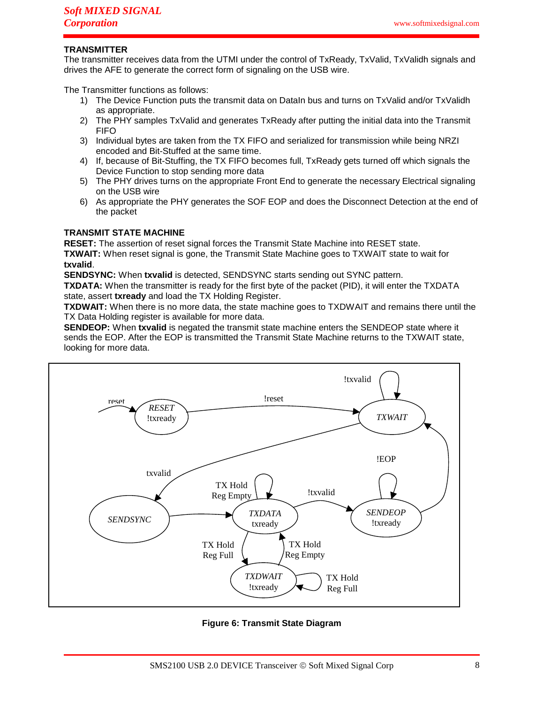# **TRANSMITTER**

The transmitter receives data from the UTMI under the control of TxReady, TxValid, TxValidh signals and drives the AFE to generate the correct form of signaling on the USB wire.

The Transmitter functions as follows:

- 1) The Device Function puts the transmit data on DataIn bus and turns on TxValid and/or TxValidh as appropriate.
- 2) The PHY samples TxValid and generates TxReady after putting the initial data into the Transmit FIFO
- 3) Individual bytes are taken from the TX FIFO and serialized for transmission while being NRZI encoded and Bit-Stuffed at the same time.
- 4) If, because of Bit-Stuffing, the TX FIFO becomes full, TxReady gets turned off which signals the Device Function to stop sending more data
- 5) The PHY drives turns on the appropriate Front End to generate the necessary Electrical signaling on the USB wire
- 6) As appropriate the PHY generates the SOF EOP and does the Disconnect Detection at the end of the packet

### **TRANSMIT STATE MACHINE**

**RESET:** The assertion of reset signal forces the Transmit State Machine into RESET state. **TXWAIT:** When reset signal is gone, the Transmit State Machine goes to TXWAIT state to wait for **txvalid**.

**SENDSYNC:** When **txvalid** is detected, SENDSYNC starts sending out SYNC pattern.

**TXDATA:** When the transmitter is ready for the first byte of the packet (PID), it will enter the TXDATA state, assert **txready** and load the TX Holding Register.

**TXDWAIT:** When there is no more data, the state machine goes to TXDWAIT and remains there until the TX Data Holding register is available for more data.

**SENDEOP:** When **txvalid** is negated the transmit state machine enters the SENDEOP state where it sends the EOP. After the EOP is transmitted the Transmit State Machine returns to the TXWAIT state, looking for more data.



**Figure 6: Transmit State Diagram**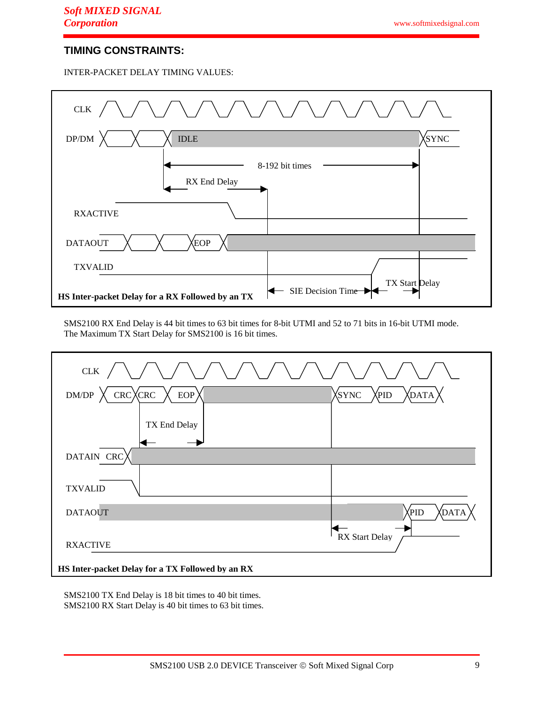# **TIMING CONSTRAINTS:**

INTER-PACKET DELAY TIMING VALUES:



SMS2100 RX End Delay is 44 bit times to 63 bit times for 8-bit UTMI and 52 to 71 bits in 16-bit UTMI mode. The Maximum TX Start Delay for SMS2100 is 16 bit times.



SMS2100 TX End Delay is 18 bit times to 40 bit times. SMS2100 RX Start Delay is 40 bit times to 63 bit times.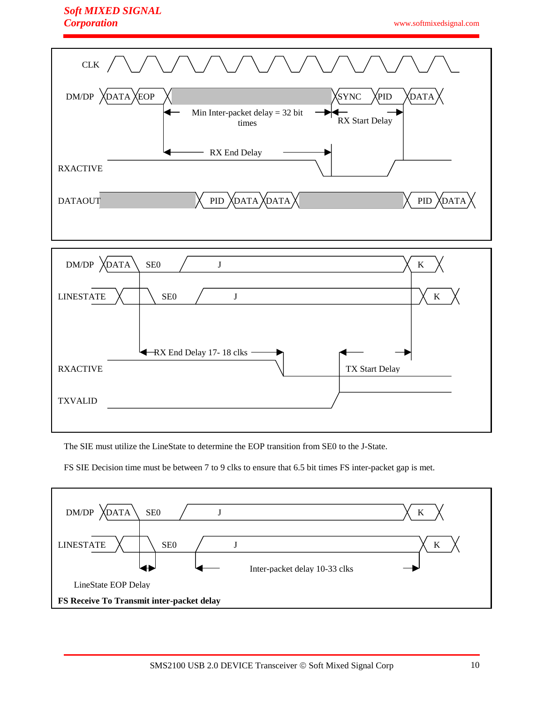# *Soft MIXED SIGNAL Corporation*

www.softmixedsignal.com





The SIE must utilize the LineState to determine the EOP transition from SE0 to the J-State.

FS SIE Decision time must be between 7 to 9 clks to ensure that 6.5 bit times FS inter-packet gap is met.

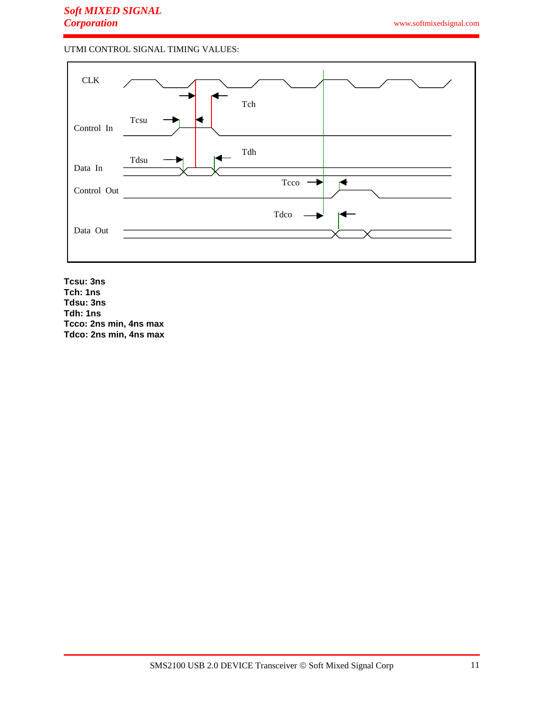# UTMI CONTROL SIGNAL TIMING VALUES:



**Tcsu: 3ns Tch: 1ns Tdsu: 3ns Tdh: 1ns Tcco: 2ns min, 4ns max Tdco: 2ns min, 4ns max**